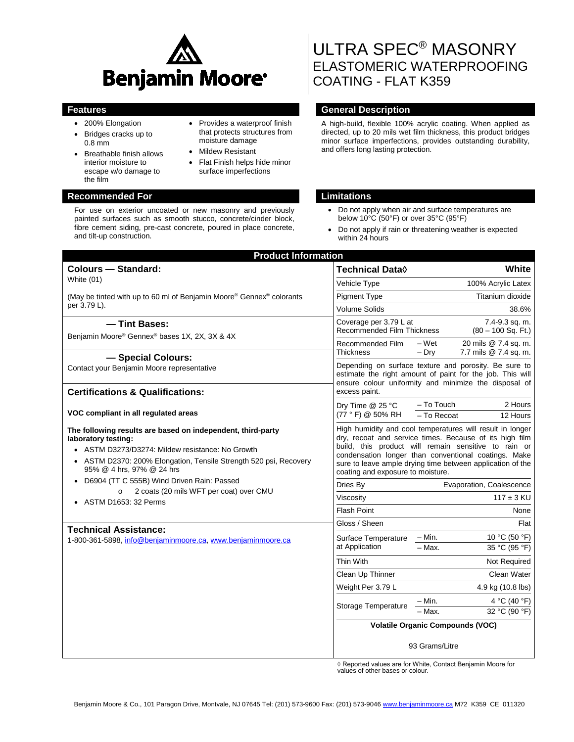

• Provides a waterproof finish that protects structures from

• Flat Finish helps hide minor surface imperfections

moisture damage • Mildew Resistant

- 200% Elongation
- Bridges cracks up to 0.8 mm
- Breathable finish allows interior moisture to escape w/o damage to the film

## **Recommended For Limitations**

For use on exterior uncoated or new masonry and previously painted surfaces such as smooth stucco, concrete/cinder block, fibre cement siding, pre-cast concrete, poured in place concrete, and tilt-up construction.

# ULTRA SPEC® MASONRY ELASTOMERIC WATERPROOFING COATING - FLAT K359

## **Features General Description**

A high-build, flexible 100% acrylic coating. When applied as directed, up to 20 mils wet film thickness, this product bridges minor surface imperfections, provides outstanding durability, and offers long lasting protection.

- Do not apply when air and surface temperatures are below 10°C (50°F) or over 35°C (95°F)
- Do not apply if rain or threatening weather is expected within 24 hours

| <b>Product Information</b>                                                                                                                                                                                                                                                                                                                                  |                                                                                                                                                                                                                                                                                                                                         |                                                                   |
|-------------------------------------------------------------------------------------------------------------------------------------------------------------------------------------------------------------------------------------------------------------------------------------------------------------------------------------------------------------|-----------------------------------------------------------------------------------------------------------------------------------------------------------------------------------------------------------------------------------------------------------------------------------------------------------------------------------------|-------------------------------------------------------------------|
| <b>Colours - Standard:</b>                                                                                                                                                                                                                                                                                                                                  | <b>Technical Data</b> ♦                                                                                                                                                                                                                                                                                                                 | White                                                             |
| White (01)                                                                                                                                                                                                                                                                                                                                                  | Vehicle Type                                                                                                                                                                                                                                                                                                                            | 100% Acrylic Latex                                                |
| (May be tinted with up to 60 ml of Benjamin Moore® Gennex® colorants<br>per 3.79 L).                                                                                                                                                                                                                                                                        | <b>Pigment Type</b>                                                                                                                                                                                                                                                                                                                     | Titanium dioxide                                                  |
|                                                                                                                                                                                                                                                                                                                                                             | <b>Volume Solids</b>                                                                                                                                                                                                                                                                                                                    | 38.6%                                                             |
| - Tint Bases:<br>Benjamin Moore® Gennex® bases 1X, 2X, 3X & 4X<br>- Special Colours:                                                                                                                                                                                                                                                                        | Coverage per 3.79 L at<br><b>Recommended Film Thickness</b>                                                                                                                                                                                                                                                                             | 7.4-9.3 sq. m.<br>$(80 - 100$ Sq. Ft.)                            |
|                                                                                                                                                                                                                                                                                                                                                             | Recommended Film<br><b>Thickness</b>                                                                                                                                                                                                                                                                                                    | – Wet<br>20 mils @ 7.4 sq. m.<br>$-$ Dry<br>7.7 mils @ 7.4 sq. m. |
| Contact your Benjamin Moore representative                                                                                                                                                                                                                                                                                                                  | Depending on surface texture and porosity. Be sure to<br>estimate the right amount of paint for the job. This will<br>ensure colour uniformity and minimize the disposal of<br>excess paint.                                                                                                                                            |                                                                   |
| <b>Certifications &amp; Qualifications:</b>                                                                                                                                                                                                                                                                                                                 |                                                                                                                                                                                                                                                                                                                                         |                                                                   |
| VOC compliant in all regulated areas                                                                                                                                                                                                                                                                                                                        | Dry Time @ 25 °C<br>(77 ° F) @ 50% RH                                                                                                                                                                                                                                                                                                   | - To Touch<br>2 Hours<br>$-$ To Recoat<br>12 Hours                |
| The following results are based on independent, third-party<br>laboratory testing:<br>ASTM D3273/D3274: Mildew resistance: No Growth<br>• ASTM D2370: 200% Elongation, Tensile Strength 520 psi, Recovery<br>95% @ 4 hrs, 97% @ 24 hrs<br>• D6904 (TT C 555B) Wind Driven Rain: Passed<br>2 coats (20 mils WFT per coat) over CMU<br>• ASTM D1653: 32 Perms | High humidity and cool temperatures will result in longer<br>dry, recoat and service times. Because of its high film<br>build, this product will remain sensitive to rain or<br>condensation longer than conventional coatings. Make<br>sure to leave ample drying time between application of the<br>coating and exposure to moisture. |                                                                   |
|                                                                                                                                                                                                                                                                                                                                                             | Dries By                                                                                                                                                                                                                                                                                                                                | Evaporation, Coalescence                                          |
|                                                                                                                                                                                                                                                                                                                                                             | Viscosity                                                                                                                                                                                                                                                                                                                               | $117 \pm 3$ KU                                                    |
|                                                                                                                                                                                                                                                                                                                                                             | <b>Flash Point</b>                                                                                                                                                                                                                                                                                                                      | None                                                              |
| <b>Technical Assistance:</b>                                                                                                                                                                                                                                                                                                                                | Gloss / Sheen                                                                                                                                                                                                                                                                                                                           | Flat                                                              |
| 1-800-361-5898, info@benjaminmoore.ca, www.benjaminmoore.ca                                                                                                                                                                                                                                                                                                 | Surface Temperature<br>at Application                                                                                                                                                                                                                                                                                                   | – Min.<br>10 °C (50 °F)                                           |
|                                                                                                                                                                                                                                                                                                                                                             |                                                                                                                                                                                                                                                                                                                                         | $-$ Max.<br>35 °C (95 °F)                                         |
|                                                                                                                                                                                                                                                                                                                                                             | <b>Thin With</b>                                                                                                                                                                                                                                                                                                                        | Not Required                                                      |
|                                                                                                                                                                                                                                                                                                                                                             | Clean Up Thinner                                                                                                                                                                                                                                                                                                                        | Clean Water                                                       |
|                                                                                                                                                                                                                                                                                                                                                             | Weight Per 3.79 L                                                                                                                                                                                                                                                                                                                       | 4.9 kg (10.8 lbs)                                                 |
|                                                                                                                                                                                                                                                                                                                                                             | Storage Temperature                                                                                                                                                                                                                                                                                                                     | $-$ Min.<br>4 °C (40 °F)                                          |
|                                                                                                                                                                                                                                                                                                                                                             |                                                                                                                                                                                                                                                                                                                                         | - Max.<br>32 °C (90 °F)                                           |
|                                                                                                                                                                                                                                                                                                                                                             | <b>Volatile Organic Compounds (VOC)</b>                                                                                                                                                                                                                                                                                                 |                                                                   |
|                                                                                                                                                                                                                                                                                                                                                             | 93 Grams/Litre                                                                                                                                                                                                                                                                                                                          |                                                                   |

◊ Reported values are for White, Contact Benjamin Moore for values of other bases or colour.